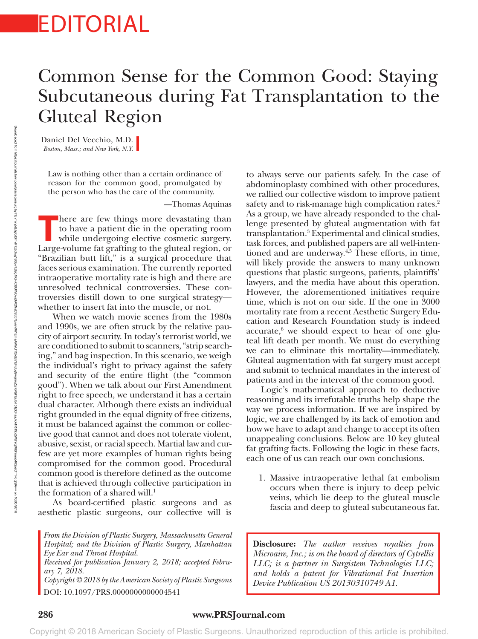## EDITORIAL

## Common Sense for the Common Good: Staying Subcutaneous during Fat Transplantation to the Gluteal Region

Daniel Del Vecchio, M.D. *Boston, Mass.; and New York, N.Y.*

Law is nothing other than a certain ordinance of reason for the common good, promulgated by the person who has the care of the community.

—Thomas Aquinas

There are few things more devastating than<br>to have a patient die in the operating room<br>while undergoing elective cosmetic surgery. to have a patient die in the operating room while undergoing elective cosmetic surgery. Large-volume fat grafting to the gluteal region, or "Brazilian butt lift," is a surgical procedure that faces serious examination. The currently reported intraoperative mortality rate is high and there are unresolved technical controversies. These controversies distill down to one surgical strategy whether to insert fat into the muscle, or not.

When we watch movie scenes from the 1980s and 1990s, we are often struck by the relative paucity of airport security. In today's terrorist world, we are conditioned to submit to scanners, "strip searching," and bag inspection. In this scenario, we weigh the individual's right to privacy against the safety and security of the entire flight (the "common good"). When we talk about our First Amendment right to free speech, we understand it has a certain dual character. Although there exists an individual right grounded in the equal dignity of free citizens, it must be balanced against the common or collective good that cannot and does not tolerate violent, abusive, sexist, or racial speech. Martial law and curfew are yet more examples of human rights being compromised for the common good. Procedural common good is therefore defined as the outcome that is achieved through collective participation in the formation of a shared will.<sup>1</sup>

As board-certified plastic surgeons and as aesthetic plastic surgeons, our collective will is

*From the Division of Plastic Surgery, Massachusetts General Hospital; and the Division of Plastic Surgery, Manhattan Eye Ear and Throat Hospital.*

*Received for publication January 2, 2018; accepted February 7, 2018.*

*Device Publication US 20130310749 A1. Copyright © 2018 by the American Society of Plastic Surgeons* DOI: 10.1097/PRS.0000000000004541

to always serve our patients safely. In the case of abdominoplasty combined with other procedures, we rallied our collective wisdom to improve patient safety and to risk-manage high complication rates.<sup>2</sup> As a group, we have already responded to the challenge presented by gluteal augmentation with fat transplantation.3 Experimental and clinical studies, task forces, and published papers are all well-intentioned and are underway.<sup>4,5</sup> These efforts, in time, will likely provide the answers to many unknown questions that plastic surgeons, patients, plaintiffs' lawyers, and the media have about this operation. However, the aforementioned initiatives require time, which is not on our side. If the one in 3000 mortality rate from a recent Aesthetic Surgery Education and Research Foundation study is indeed accurate,<sup>6</sup> we should expect to hear of one gluteal lift death per month. We must do everything we can to eliminate this mortality—immediately. Gluteal augmentation with fat surgery must accept and submit to technical mandates in the interest of patients and in the interest of the common good.

Logic's mathematical approach to deductive reasoning and its irrefutable truths help shape the way we process information. If we are inspired by logic, we are challenged by its lack of emotion and how we have to adapt and change to accept its often unappealing conclusions. Below are 10 key gluteal fat grafting facts. Following the logic in these facts, each one of us can reach our own conclusions.

1. Massive intraoperative lethal fat embolism occurs when there is injury to deep pelvic veins, which lie deep to the gluteal muscle fascia and deep to gluteal subcutaneous fat.

**Disclosure:** *The author receives royalties from Microaire, Inc.; is on the board of directors of Cytrellis LLC; is a partner in Surgistem Technologies LLC; and holds a patent for Vibrational Fat Insertion* 

## **286 www.PRSJournal.com**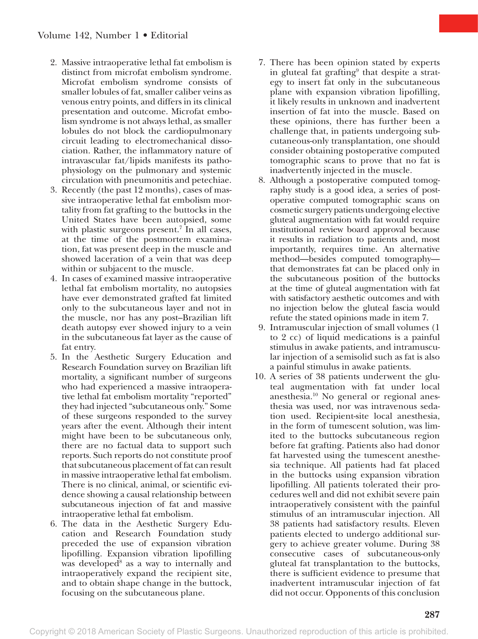- 2. Massive intraoperative lethal fat embolism is distinct from microfat embolism syndrome. Microfat embolism syndrome consists of smaller lobules of fat, smaller caliber veins as venous entry points, and differs in its clinical presentation and outcome. Microfat embolism syndrome is not always lethal, as smaller lobules do not block the cardiopulmonary circuit leading to electromechanical dissociation. Rather, the inflammatory nature of intravascular fat/lipids manifests its pathophysiology on the pulmonary and systemic circulation with pneumonitis and petechiae.
- 3. Recently (the past 12 months), cases of massive intraoperative lethal fat embolism mortality from fat grafting to the buttocks in the United States have been autopsied, some with plastic surgeons present.<sup>7</sup> In all cases, at the time of the postmortem examination, fat was present deep in the muscle and showed laceration of a vein that was deep within or subjacent to the muscle.
- 4. In cases of examined massive intraoperative lethal fat embolism mortality, no autopsies have ever demonstrated grafted fat limited only to the subcutaneous layer and not in the muscle, nor has any post–Brazilian lift death autopsy ever showed injury to a vein in the subcutaneous fat layer as the cause of fat entry.
- 5. In the Aesthetic Surgery Education and Research Foundation survey on Brazilian lift mortality, a significant number of surgeons who had experienced a massive intraoperative lethal fat embolism mortality "reported" they had injected "subcutaneous only." Some of these surgeons responded to the survey years after the event. Although their intent might have been to be subcutaneous only, there are no factual data to support such reports. Such reports do not constitute proof that subcutaneous placement of fat can result in massive intraoperative lethal fat embolism. There is no clinical, animal, or scientific evidence showing a causal relationship between subcutaneous injection of fat and massive intraoperative lethal fat embolism.
- 6. The data in the Aesthetic Surgery Education and Research Foundation study preceded the use of expansion vibration lipofilling. Expansion vibration lipofilling was developed<sup>8</sup> as a way to internally and intraoperatively expand the recipient site, and to obtain shape change in the buttock, focusing on the subcutaneous plane.
- 7. There has been opinion stated by experts in gluteal fat grafting<sup>9</sup> that despite a strategy to insert fat only in the subcutaneous plane with expansion vibration lipofilling, it likely results in unknown and inadvertent insertion of fat into the muscle. Based on these opinions, there has further been a challenge that, in patients undergoing subcutaneous-only transplantation, one should consider obtaining postoperative computed tomographic scans to prove that no fat is inadvertently injected in the muscle.
- 8. Although a postoperative computed tomography study is a good idea, a series of postoperative computed tomographic scans on cosmetic surgery patients undergoing elective gluteal augmentation with fat would require institutional review board approval because it results in radiation to patients and, most importantly, requires time. An alternative method—besides computed tomography that demonstrates fat can be placed only in the subcutaneous position of the buttocks at the time of gluteal augmentation with fat with satisfactory aesthetic outcomes and with no injection below the gluteal fascia would refute the stated opinions made in item 7.
- 9. Intramuscular injection of small volumes (1 to 2 cc) of liquid medications is a painful stimulus in awake patients, and intramuscular injection of a semisolid such as fat is also a painful stimulus in awake patients.
- 10. A series of 38 patients underwent the gluteal augmentation with fat under local anesthesia.10 No general or regional anesthesia was used, nor was intravenous sedation used. Recipient-site local anesthesia, in the form of tumescent solution, was limited to the buttocks subcutaneous region before fat grafting. Patients also had donor fat harvested using the tumescent anesthesia technique. All patients had fat placed in the buttocks using expansion vibration lipofilling. All patients tolerated their procedures well and did not exhibit severe pain intraoperatively consistent with the painful stimulus of an intramuscular injection. All 38 patients had satisfactory results. Eleven patients elected to undergo additional surgery to achieve greater volume. During 38 consecutive cases of subcutaneous-only gluteal fat transplantation to the buttocks, there is sufficient evidence to presume that inadvertent intramuscular injection of fat did not occur. Opponents of this conclusion